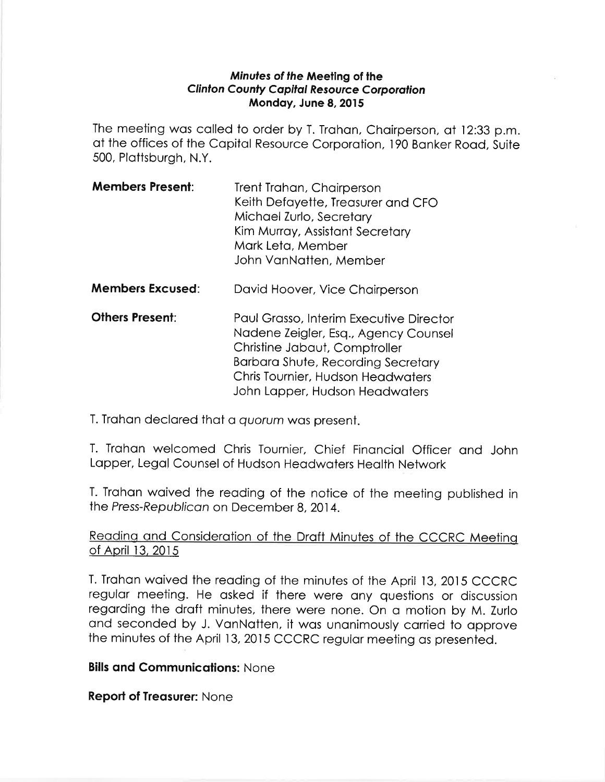### Minutes of the Meeting of the Clinton County Capital Resource Corporation Mondoy, June 8,2015

The meeting was called to order by T. Trahan, Chairperson, at 12:33 p.m. at the offices of the Capital Resource Corporation, 190 Banker Road, Suite 500, Plottsburgh, N.Y.

- **Members Present:** Trent Trahan, Chairperson Keith Defoyette, Treosurer ond CFO Michoel Zurlo, Secretory Kim Murroy, Assistont Secretory Mork Leto, Member John VanNatten, Member
- **Members Excused:** David Hoover, Vice Chairperson
- **Others Present:** Paul Grasso, Interim Executive Director Nodene Zeigler, Esq., Agency Counsel Christine Jobout, Comptroller Borboro Shute, Recording Secretory Chris Tournier, Hudson Heodwoters John Lopper, Hudson Heodwoters

T. Trahan declared that a quorum was present.

T. Trohon welcomed Chris Tournier, Chief Finoncíol Officer ond John Lopper, Legol Counsel of Hudson Heodwoters Heolth Network

T. Trahan waived the reading of the notice of the meeting published in the Press-Republican on December 8, 2014.

# Reading and Consideration of the Draft Minutes of the CCCRC Meeting of April 13, 2015

T. Trahan waived the reading of the minutes of the April 13, 2015 CCCRC regular meeting. He asked if there were any questions or discussion regarding the draft minutes, there were none. On a motion by M. Zurlo and seconded by J. VanNatten, it was unanimously carried to approve the minutes of the April 13,2015 CCCRC regulor meeting os presented.

# **Bills and Communications: None**

**Report of Treasurer: None**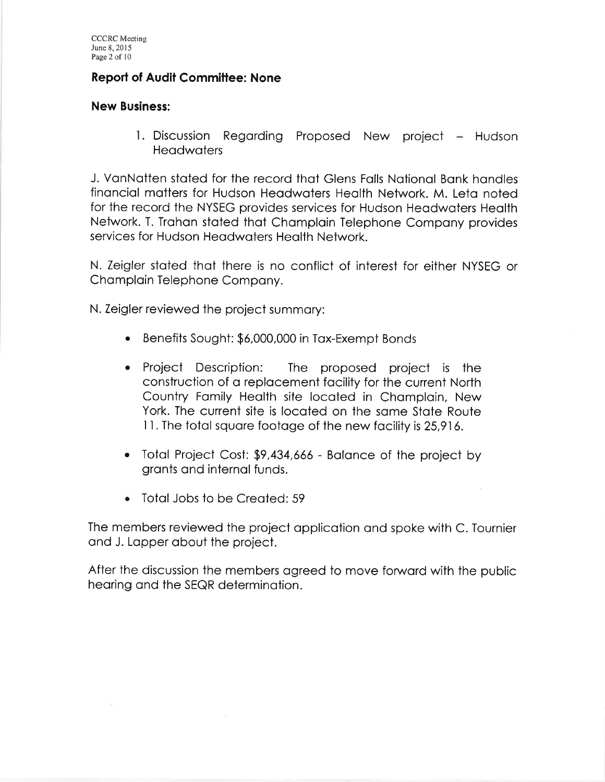## Reporl of Audit Committee: None

### New Business:

l. Discussion Regarding Proposed New project – Hudson **Headwaters** 

J. VonNotten stoted for the record thot Glens Folls Notionol Bonk hondles finonciol mofters for Hudson Heodwoters Heolth Network. M. Leto noted for the record the NYSEG provides servíces for Hudson Heodwoters Heolth Network. T. Irohon stoted thot Chomploin Telephone Compony provides services for Hudson Heodwoters Heolth Network.

N. Zeigler stoted thot there is no conflict of interest for either NYSEG or Champlain Telephone Company.

N. Zeigler reviewed the project summory:

- Benefits Sought: \$ó,000,000 in Tox-Exempt Bonds o
- Project Description: The proposed project is the construction of o replocement focílity for the current North Country Fomily Heolth site locoted in Chomploin, New York. The current site is locoted on the some Stote Route I l. The totol squore footoge of the new focility is 25,91ó.
- a Totol Project Cost: \$9,434,66ó Bolonce of the project by gronts ond internol funds.
- Totol Jobs lo be Creoted:59

The members reviewed the project opplicotion ond spoke with C. Tournier ond J. Lopper obout the project.

After the discussion the members ogreed to move forword with the public heoring ond the SEQR determinotion.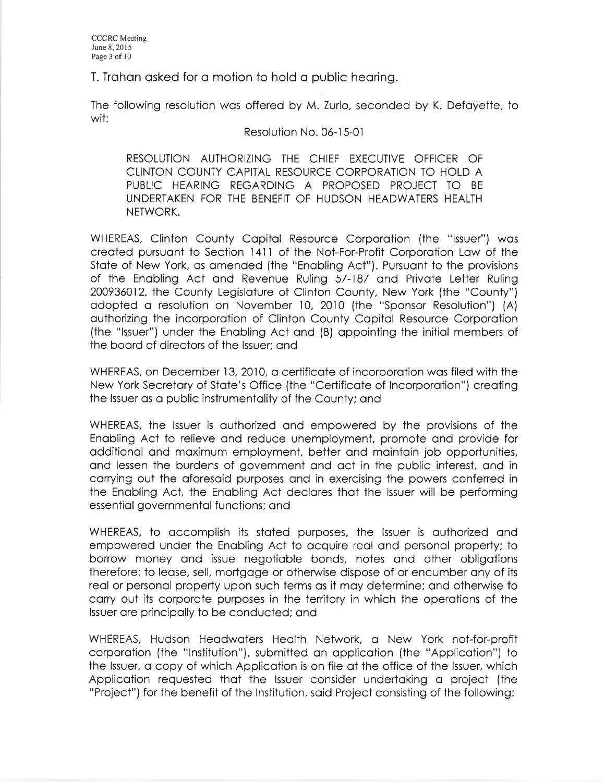T. Trahan asked for a motion to hold a public hearing.

The following resolution was offered by M. Zurlo, seconded by K. Defayette, to wit:

#### Resolution No. 06-15-01

RESOLUTION AUTHORIZING THE CHIEF EXECUTIVE OFFICER OF CLINTON COUNTY CAPITAL RESOURCE CORPORATION TO HOLD A PUBLIC HEARING REGARDING A PROPOSED PROJECT TO BE UNDERTAKEN FOR THE BENEFIT OF HUDSON HEADWATERS HEALTH NETWORK.

WHEREAS, Clinton County Capital Resource Corporation (the "Issuer") was created pursuant to Section 1411 of the Not-For-Profit Corporation Law of the State of New York, as amended (the "Enabling Act"). Pursuant to the provisions of the Enabling Act and Revenue Ruling 57-187 and Private Letter Ruling 200936012, the County Legislature of Clinton County, New York (the "County") adopted a resolution on November 10, 2010 (the "Sponsor Resolution") (A) authorizing the incorporation of Clinton County Capital Resource Corporation (the "Issuer") under the Enabling Act and (B) appointing the initial members of the board of directors of the Issuer; and

WHEREAS, on December 13, 2010, a certificate of incorporation was filed with the New York Secretary of State's Office (the "Certificate of Incorporation") creating the Issuer as a public instrumentality of the County; and

WHEREAS, the Issuer is authorized and empowered by the provisions of the Enabling Act to relieve and reduce unemployment, promote and provide for additional and maximum employment, better and maintain job opportunities, and lessen the burdens of government and act in the public interest, and in carrying out the aforesaid purposes and in exercising the powers conferred in the Enabling Act, the Enabling Act declares that the Issuer will be performing essential governmental functions; and

WHEREAS, to accomplish its stated purposes, the Issuer is authorized and empowered under the Enabling Act to acquire real and personal property; to borrow money and issue negotiable bonds, notes and other obligations therefore; to lease, sell, mortgage or otherwise dispose of or encumber any of its real or personal property upon such terms as it may determine; and otherwise to carry out its corporate purposes in the territory in which the operations of the Issuer are principally to be conducted; and

WHEREAS, Hudson Headwaters Health Network, a New York not-for-profit corporation (the "Institution"), submitted an application (the "Application") to the Issuer, a copy of which Application is on file at the office of the Issuer, which Application requested that the Issuer consider undertaking a project (the "Project") for the benefit of the Institution, said Project consisting of the following: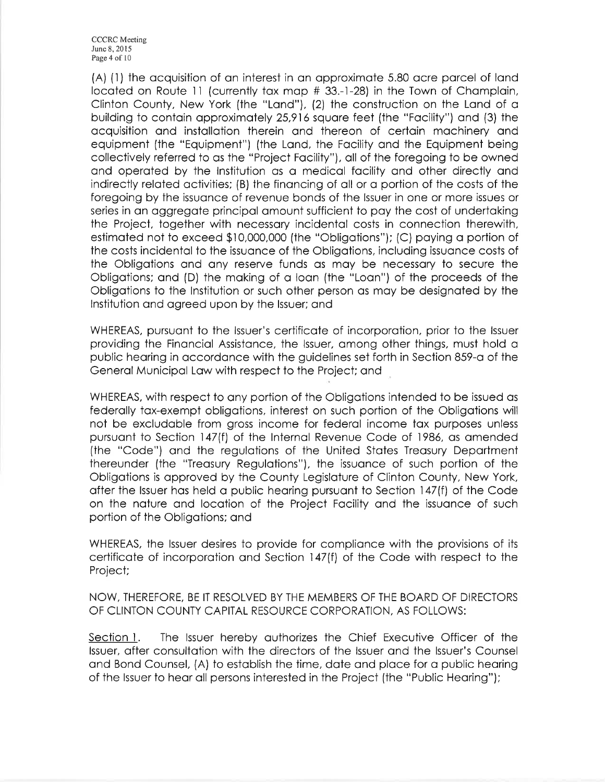**CCCRC** Meeting June 8, 2015 Page 4 of 10

(A) (1) the acquisition of an interest in an approximate 5.80 acre parcel of land located on Route 11 (currently tax map # 33.-1-28) in the Town of Champlain, Clinton County, New York (the "Land"), (2) the construction on the Land of a building to contain approximately 25,916 square feet (the "Facility") and (3) the acquisition and installation therein and thereon of certain machinery and equipment (the "Equipment") (the Land, the Facility and the Equipment being collectively referred to as the "Project Facility"), all of the foregoing to be owned and operated by the Institution as a medical facility and other directly and indirectly related activities; (B) the financing of all or a portion of the costs of the foregoing by the issuance of revenue bonds of the Issuer in one or more issues or series in an aggregate principal amount sufficient to pay the cost of undertaking the Project, together with necessary incidental costs in connection therewith, estimated not to exceed \$10,000,000 (the "Obligations"); (C) paying a portion of the costs incidental to the issuance of the Obligations, including issuance costs of the Obligations and any reserve funds as may be necessary to secure the Obligations; and (D) the making of a loan (the "Loan") of the proceeds of the Obligations to the Institution or such other person as may be designated by the Institution and agreed upon by the Issuer; and

WHEREAS, pursuant to the Issuer's certificate of incorporation, prior to the Issuer providing the Financial Assistance, the Issuer, among other things, must hold a public hearing in accordance with the guidelines set forth in Section 859-a of the General Municipal Law with respect to the Project; and

WHEREAS, with respect to any portion of the Obligations intended to be issued as federally tax-exempt obligations, interest on such portion of the Obligations will not be excludable from gross income for federal income tax purposes unless pursuant to Section 147(f) of the Internal Revenue Code of 1986, as amended (the "Code") and the regulations of the United States Treasury Department thereunder (the "Treasury Regulations"), the issuance of such portion of the Obligations is approved by the County Legislature of Clinton County, New York, after the Issuer has held a public hearing pursuant to Section 147(f) of the Code on the nature and location of the Project Facility and the issuance of such portion of the Obligations; and

WHEREAS, the Issuer desires to provide for compliance with the provisions of its certificate of incorporation and Section 147(f) of the Code with respect to the Project;

NOW, THEREFORE, BE IT RESOLVED BY THE MEMBERS OF THE BOARD OF DIRECTORS OF CLINTON COUNTY CAPITAL RESOURCE CORPORATION, AS FOLLOWS:

Section 1. The Issuer hereby authorizes the Chief Executive Officer of the Issuer, after consultation with the directors of the Issuer and the Issuer's Counsel and Bond Counsel, (A) to establish the time, date and place for a public hearing of the Issuer to hear all persons interested in the Project (the "Public Hearing");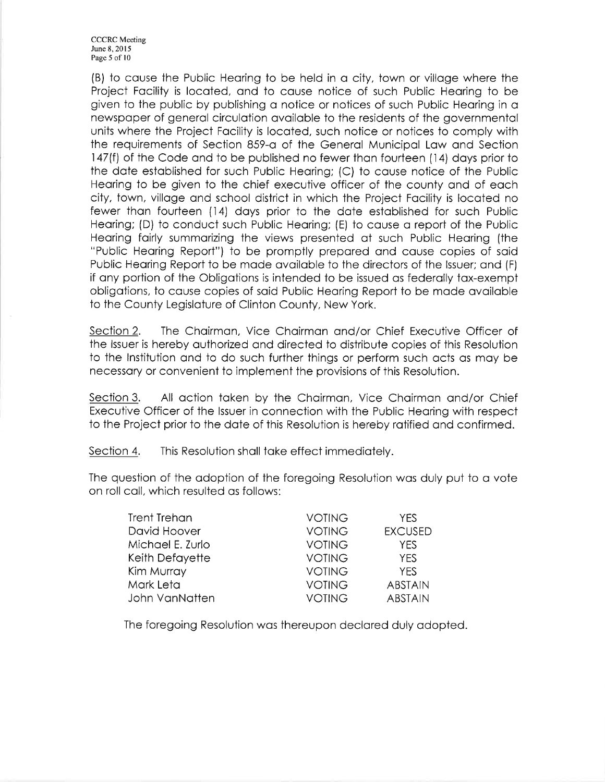CCCRC Meeting June 8,2015 Page 5 of 10

(B) to couse the Public Heoríng to be held in o city, iown or villoge where the Project Focility is locoted, ond to couse notice of such Public Heoring to be given to the public by publishing a notice or notices of such Public Hearing in a newspoper of generol circulotion ovoiloble to the residents of the governmentol units where the Project Focility is locoted, such notice or nofices to comply with the requirements of Section 859-o of the Generol Municipol Low ond Section 147(f) of the Code and to be published no fewer than fourteen (14) days prior to the dote estoblished for such Public Heoring; (C) to couse notice of ihe Public Heoring to be given to the chief executive officer of the county ond of eoch city, town, villoge ond school district in which the Project Focility is locoted no fewer thon fourteen (14) doys prior to the dote estoblished for such Public Heoring; (D) to conduct such Public Heoring; (E) to couse o report of the Public Hearing fairly summarizing the views presented at such Public Hearing (the "Public Heoring Report") to be promptly prepored ond couse copies of soid Public Heoring Report to be mode ovoiloble to the directors of the lssuer; ond (F) if ony portion of the Obligotions is intended to be issued os federolly tox-exempt obligotions, to couse copies of soid Public Heoring Report to be mode ovoiloble to the County Legisloture of Clinton County, New York.

Section 2. The Chairman, Vice Chairman and/or Chief Executive Officer of the lssuer is hereby outhorized ond directed to distribute copies of this Resolution to the lnstitution ond to do such further things or perform such octs os moy be necessory or convenient to implement the provisions of this Resolution.

Section 3. All action taken by the Chairman, Vice Chairman and/or Chief Executive Officer of the Issuer in connection with the Public Hearing with respect to the Project prior to the dote of ihis Resolution is hereby rotified ond confirmed.

Section 4. This Resolution shall take effect immediately.

The question of the adoption of the foregoing Resolution was duly put to a vote on roll coll, which resulted os follows:

| Trent Trehan     | <b>VOTING</b> | YFS.           |
|------------------|---------------|----------------|
| David Hoover     | <b>VOTING</b> | <b>EXCUSED</b> |
| Michael E. Zurlo | <b>VOTING</b> | YFS            |
| Keith Defayette  | <b>VOTING</b> | <b>YES</b>     |
| Kim Murray       | <b>VOTING</b> | <b>YES</b>     |
| Mark Leta        | <b>VOTING</b> | <b>ABSTAIN</b> |
| John VanNatten   | <b>VOTING</b> | <b>ABSTAIN</b> |

The foregoing Resolution wos thereupon declored duly odopied.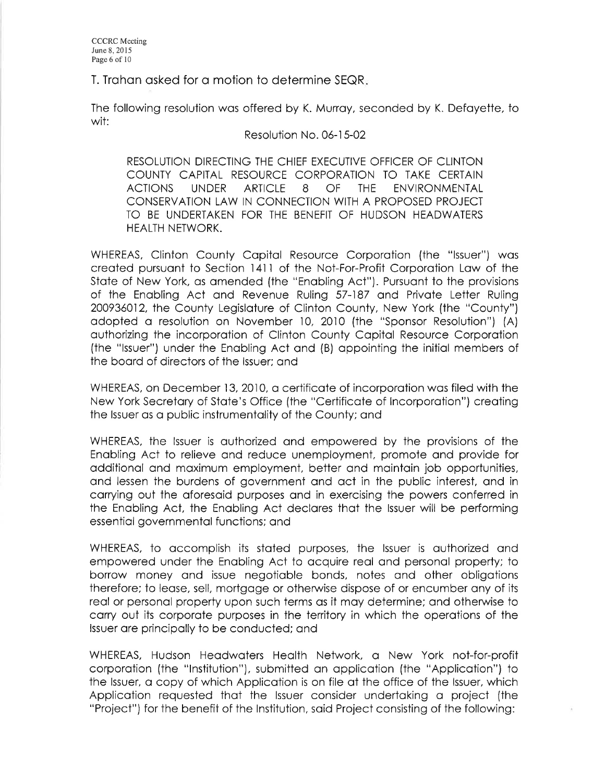T. Trahan asked for a motion to determine SEQR.

The following resolution wos offered by K. Murroy, seconded by K. Defoyette, to wit:

### Resolution No. 0ó-l 5-02

RESOLUTION DIRECTING THE CHIEF EXECUTIVE OFFICER OF CLINTON COUNTY CAPITAL RESOURCE CORPORATION TO TAKE CERTAIN ACTIONS UNDER ARTICLE 8 OF THE ENVIRONMENTAL CONSERVATION LAW IN CONNECTION WITH A PROPOSED PROJECT TO BE UNDERTAKEN FOR THE BENEFIT OF HUDSON HEADWATERS HEALTH NETWORK.

WHEREAS, Clinton County Copitol Resource Corporotion (the "lssuer") wos creoted pursuont to Section l4l I of the Not-For-Profit Corporotion Low of the State of New York, as amended (the "Enabling Act"). Pursuant to the provisions of the Enobling Act ond Revenue Ruling 57-187 ond Privote Letter Ruling 200936012, Ihe County Legisloture of Clinton Couniy, New York (the "County") odopted o resolution on November 10, 2010 (the "Sponsor Resolution") (A) outhorizing the incorporotion of Clinton County Copitol Resource Corporotion (fhe "lssuer") under ihe Enobling Act ond (B) oppointing the initiol members of the boord of directors of the lssuer; ond

WHEREAS, on December 13, 2010, a certificate of incorporation was filed with the New York Secretory of Stote's Office (the "Certificote of lncorporotion") creoting the Issuer as a public instrumentality of the County; and

WHEREAS, the lssuer is outhorized ond empowered by the provisions of the Enobling Act to relieve ond reduce unemployment, promoie ond provide for oddítionol ond moximum employment, better ond mointoin job opportunities, ond lessen the burdens of government ond oct in the public interest, ond in corrying out the oforesoid purposes ond in exercising the powers conferred in the Enobling Act, the Enqbling Act declores thot ihe lssuer will be performing essentiol governmentol functions; ond

WHEREAS, to accomplish its stated purposes, the Issuer is authorized and empowered under the Enoblíng Act to ocquire reol ond personol property; to borrow money and issue negotiable bonds, notes and other obligations therefore; to leose, sell, morigoge or otherwise dispose of or encumber ony of its reol or personol property upon such terms os it moy determine; ond othewise to corry out its corporote purposes in the territory in which the operotions of ihe lssuer ore principolly to be conducted; ond

WHEREAS, Hudson Heodwoters Heolth Network, o New York not-for-profit corporotion (the "lnstitution"), submitted on opplicoiion (the "Applicotion") to the Issuer, a copy of which Application is on file at the office of the Issuer, which Applicotion requested thot the lssuer consider undertoking o project (the "Project") for the benefit of the lnstitutíon, soid Project consisting of the following: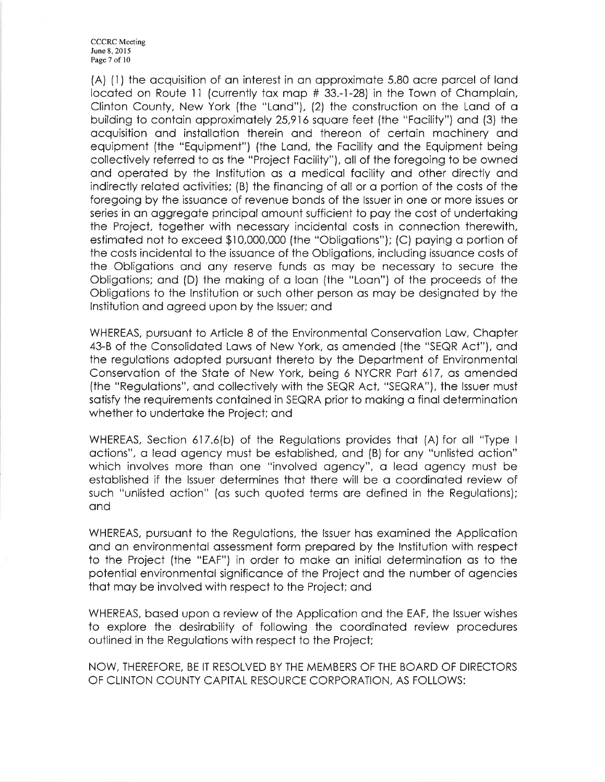CCCRC Meeting June 8, 2015 Page 7 of l0

(A) (1) the acquisition of an interest in an approximate 5.80 acre parcel of land located on Route 11 (currently tax map # 33.-1-28) in the Town of Champlain, Clinton County, New York (the "Lond"), (2) the construction on the Lond of o building to contoin opproximotely 25,91ó squore feet (the "Focility") ond (3) the qcquisit¡on ond instolloiion therein ond thereon of certoin mochinery ond equipment (the "Equipmeni") (the Lond, the Focility ond the Equipment being collectively referred to os the "Project Focility"), oll of the foregoing to be owned ond operoted by the lnstitution os o medicol focility ond other directly ond indirectly related activities; (B) the financing of all or a portion of the costs of the foregoing by the issuonce of revenue bonds of the lssuer in one or more issues or series in an aggregate principal amount sufficient to pay the cost of undertaking the Project, together with necessory incidentol costs in connection therewith, estimated not to exceed \$10,000,000 (the "Obligations"); (C) paying a portion of the costs incidentol to the issuonce of the Obligotions, including issuonce costs of the Obligotions ond ony reserve funds os moy be necessory to secure the Obligotions; ond (D) the moking of o loon (the "Loon") of the proceeds of the Obligotions to the lnstiiution or such other person os moy be designoted by the lnstitution ond ogreed upon by the lssuer; ond

WHEREAS, pursuant to Article 8 of the Environmental Conservation Law, Chapter 43-B of the Consolidoted Lows of New York, os omended (the "SEQR Act"), ond the regulations adopted pursuant thereto by the Department of Environmental Conservotion of lhe Stote of New York, being ó NYCRR Port 617, os omended (the "Regulotions", ond collectively with the SEQR Act, "SEQRA"), the lssuer must sotisfy the requirements contoined in SEQRA prior to moking o finol determinotion whether to undertoke the Project; ond

WHEREAS, Section 617.6(b) of the Regulotions provides thot (A) for oll "Type <sup>I</sup> octions", o leod ogency must be estoblished, ond (B) for ony "unlisted oction" which involves more than one "involved agency", a lead agency must be estoblished if the lssuer determines thot there will be o coordinoted review of such "unlisted oction" (os such quoted terms ore defined in the Regulotions); ond

WHEREAS, pursuont to the Regulotions, the lssuer hos exomined the Applicotion ond on environmentol ossessment form prepored by the lnstitution with respect to the Project (the "EAF") in order to make an initial determination as to the potentiol environmentol significonce of the Project ond the number of ogencies thot moy be involved with respect to the Project; ond

WHEREAS, based upon a review of the Application and the EAF, the Issuer wishes to explore the desirobility of following the coordinoted review procedures outlined in the Regulotions wiih respect to the Project;

NOW, THEREFORE, BE IT RESOLVED BY THE MEMBERS OF THE BOARD OF DIRECTORS OF CLINTON COUNTY CAPITAL RESOURCE CORPORATION, AS FOLLOWS: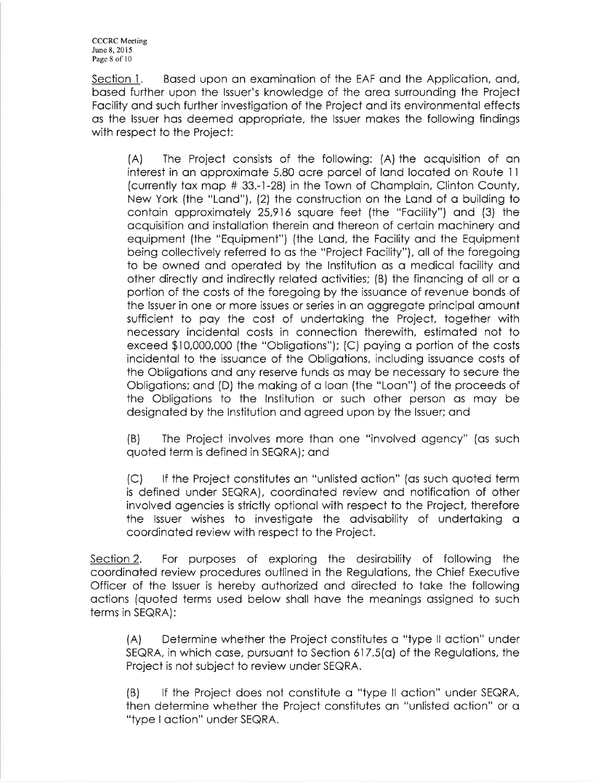CCCRC Meeting June 8, 2015 Page 8 of l0

Section 1. Based upon an examination of the EAF and the Application, and, bosed further upon the lssuer's knowledge of the oreo surrounding the Project Focility ond such further investigotion of the Project ond its environmentol effects os the lssuer hos deemed oppropriote, the lssuer mokes the following findings with respect to the Project:

(A) The Project consists of the following: (A) the ocquisiiion of on interest in an approximate 5.80 acre parcel of land located on Route 11 (currently tox mop # 33.-l-28) in the Town of Chomploin, Clinton County, New York (the "Land"),  $(2)$  the construction on the Land of a building to contain approximately 25,916 square feet (the "Facility") and (3) the ocquisition ond instollotion iherein ond thereon of certoin mochinery ond equipment (the "Equipment") (the Lond, the Focility ond the Equipment being collectively referred to os the "Project Focility"), oll of the foregoing to be owned and operated by the Institution as a medical facility and other directly and indirectly related activities; (B) the financing of all or a portion of the costs of the foregoing by the issuonce of revenue bonds of the Issuer in one or more issues or series in an aggregate principal amount sufficient to poy the cost of undertoking the Project, iogether with necessory incidentol costs in connection therewith, estimoted not to exceed \$10,000,000 (the "Obligotions"); (C) poying o portion of the costs incidentol to the issuonce of the Obligotions, including issuonce costs of the Obligotions ond ony reserve funds os moy be necessory to secure the Obligotions; ond (D) the moking of o loon (the "Loon") of the proceeds of the Obligotions to the lnstiiution or such other person os moy be designoted by the lnstitution ond ogreed upon by the lssuer; ond

(B) The Project involves more thon one "involved ogency" (os such quoted term is defined in SEQRA); ond

(C) lf the Project constitutes on "unlisted oction" (os such quoted term is defined under SEQRA), coordinated review and notification of other involved ogencies is strictly optionol wilh respect to the Project, therefore the Issuer wishes to investigate the advisability of undertaking a coordinated review with respect to the Project.

Section 2. For purposes of exploring the desirability of following the coordinoied review procedures outlined in the Regulotions, the Chief Executive Officer of the lssuer is hereby outhorized ond directed to toke the following qctions (quoted terms used below sholl hove the meonings ossigned to such terms in SEQRA):

(A) Determine whether the Project constitutes o "type ll oction" under SEQRA, in which case, pursuant to Section 617.5(a) of the Regulations, the Project is not subject to review under SEQRA.

(B) lf the Project does not constitute o "type ll oction" under SEQRA, then determine whether the Project constitutes on "unlisied oction" or o "type I oction" under SEQRA.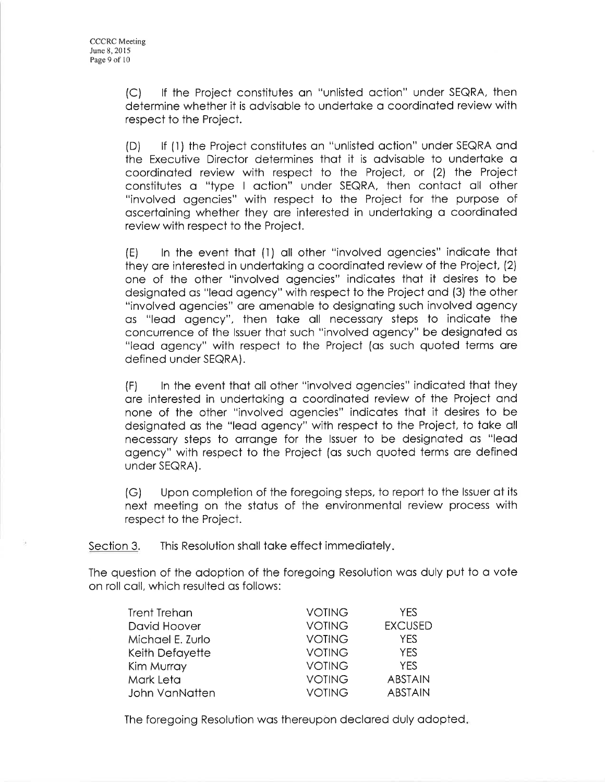(C) lf the Project constitutes on "unlisted oction" under SEQRA, then determine whether it is odvisoble to undertoke o coordinoted review with respect to the Project.

(D) lf (l) ihe Project constitutes on "unlisted oction" under SEQRA ond the Executive Director deiermines thot it is odvisoble to undertoke o coordinoted review with respect to the Project, or (2) the Project constitutes o "type I oction" under SEQRA, then contoct oll other "involved ogencies" with respect to the Project for the purpose of oscertoining whether they ore interested in undertoking o coordinoted review with respect to the Project.

(E) ln the event thot (l) oll other "involved ogencies" indicqte thot they are interested in undertaking a coordinated review of the Project, (2) one of the other "involved ogencies" indicotes thot it desires to be designated as "lead agency" with respect to the Project and (3) the other "involved ogencies" ore omenqble to designoting such involved ogency os "leod ogency", then tqke oll necessory steps to indicote the concurrence of the lssuer thot such "involved ogency" be designoted os "leod ogency" with respect to the Project (os such quoted terms ore defined under SEaRA).

(F) ln the event thot oll other "involved ogencies" indicoted thot they ore interested in undertoking o coordinoted review of ihe Project ond none of the other "involved ogencies" indicotes thot it desires to be designoted os the "leod ogency" with respect to the Project, to toke oll necessary steps to arrange for the Issuer to be designated as "lead ogency" with respect io the Project (os such quoted terms ore defined under SEaRA).

(G) Upon completion of the foregoing steps, to report to the lssuer of iïs next meeting on the status of the environmental review process with respect to the Project.

Section 3. This Resolution shall take effect immediately.

The question of the odoption of the foregoing Resolution wos duly put to o vote on roll coll, which resulted os follows:

| Trent Trehan     | <b>VOTING</b> | <b>YFS</b>     |
|------------------|---------------|----------------|
| David Hoover     | <b>VOTING</b> | <b>EXCUSED</b> |
| Michael E. Zurlo | <b>VOTING</b> | YES            |
| Keith Defayette  | <b>VOTING</b> | YES.           |
| Kim Murray       | <b>VOTING</b> | <b>YFS</b>     |
| Mark Leta        | <b>VOTING</b> | <b>ABSTAIN</b> |
| John VanNatten   | <b>VOTING</b> | <b>ABSTAIN</b> |

The foregoing Resolution was thereupon declared duly adopted.